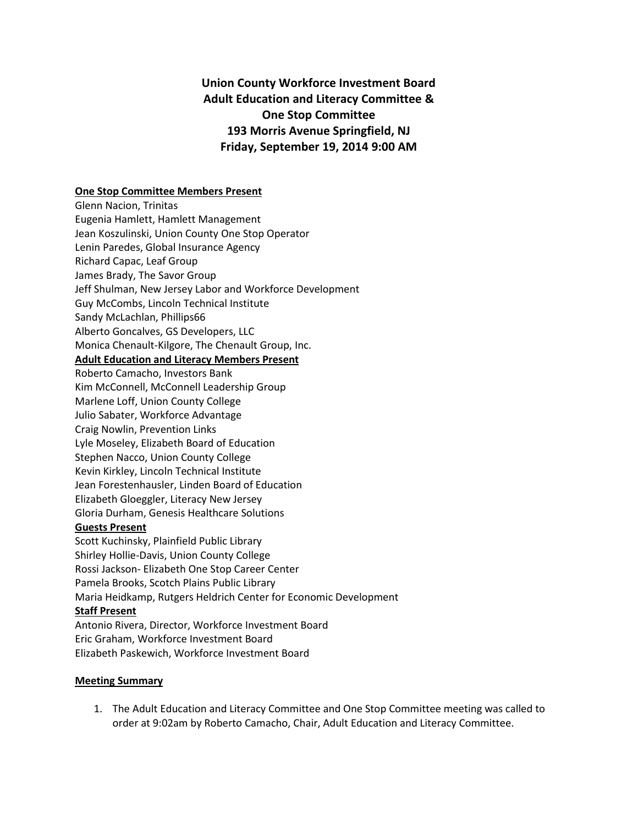## **Union County Workforce Investment Board Adult Education and Literacy Committee & One Stop Committee 193 Morris Avenue Springfield, NJ Friday, September 19, 2014 9:00 AM**

## **One Stop Committee Members Present**

Glenn Nacion, Trinitas Eugenia Hamlett, Hamlett Management Jean Koszulinski, Union County One Stop Operator Lenin Paredes, Global Insurance Agency Richard Capac, Leaf Group James Brady, The Savor Group Jeff Shulman, New Jersey Labor and Workforce Development Guy McCombs, Lincoln Technical Institute Sandy McLachlan, Phillips66 Alberto Goncalves, GS Developers, LLC Monica Chenault-Kilgore, The Chenault Group, Inc. **Adult Education and Literacy Members Present** Roberto Camacho, Investors Bank Kim McConnell, McConnell Leadership Group Marlene Loff, Union County College Julio Sabater, Workforce Advantage Craig Nowlin, Prevention Links Lyle Moseley, Elizabeth Board of Education Stephen Nacco, Union County College Kevin Kirkley, Lincoln Technical Institute Jean Forestenhausler, Linden Board of Education Elizabeth Gloeggler, Literacy New Jersey Gloria Durham, Genesis Healthcare Solutions **Guests Present** Scott Kuchinsky, Plainfield Public Library Shirley Hollie-Davis, Union County College Rossi Jackson- Elizabeth One Stop Career Center Pamela Brooks, Scotch Plains Public Library Maria Heidkamp, Rutgers Heldrich Center for Economic Development **Staff Present** Antonio Rivera, Director, Workforce Investment Board Eric Graham, Workforce Investment Board Elizabeth Paskewich, Workforce Investment Board

## **Meeting Summary**

1. The Adult Education and Literacy Committee and One Stop Committee meeting was called to order at 9:02am by Roberto Camacho, Chair, Adult Education and Literacy Committee.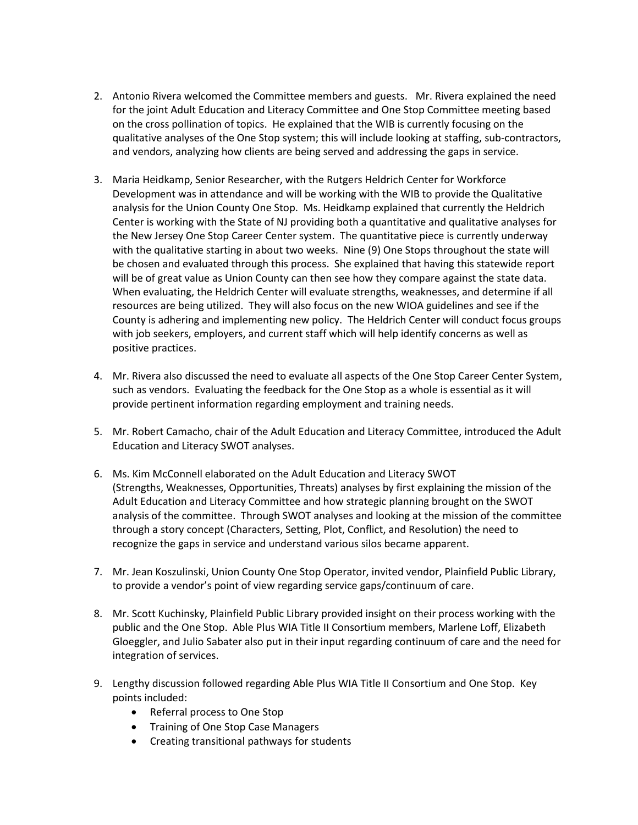- 2. Antonio Rivera welcomed the Committee members and guests. Mr. Rivera explained the need for the joint Adult Education and Literacy Committee and One Stop Committee meeting based on the cross pollination of topics. He explained that the WIB is currently focusing on the qualitative analyses of the One Stop system; this will include looking at staffing, sub-contractors, and vendors, analyzing how clients are being served and addressing the gaps in service.
- 3. Maria Heidkamp, Senior Researcher, with the Rutgers Heldrich Center for Workforce Development was in attendance and will be working with the WIB to provide the Qualitative analysis for the Union County One Stop. Ms. Heidkamp explained that currently the Heldrich Center is working with the State of NJ providing both a quantitative and qualitative analyses for the New Jersey One Stop Career Center system. The quantitative piece is currently underway with the qualitative starting in about two weeks. Nine (9) One Stops throughout the state will be chosen and evaluated through this process. She explained that having this statewide report will be of great value as Union County can then see how they compare against the state data. When evaluating, the Heldrich Center will evaluate strengths, weaknesses, and determine if all resources are being utilized. They will also focus on the new WIOA guidelines and see if the County is adhering and implementing new policy. The Heldrich Center will conduct focus groups with job seekers, employers, and current staff which will help identify concerns as well as positive practices.
- 4. Mr. Rivera also discussed the need to evaluate all aspects of the One Stop Career Center System, such as vendors. Evaluating the feedback for the One Stop as a whole is essential as it will provide pertinent information regarding employment and training needs.
- 5. Mr. Robert Camacho, chair of the Adult Education and Literacy Committee, introduced the Adult Education and Literacy SWOT analyses.
- 6. Ms. Kim McConnell elaborated on the Adult Education and Literacy SWOT (Strengths, Weaknesses, Opportunities, Threats) analyses by first explaining the mission of the Adult Education and Literacy Committee and how strategic planning brought on the SWOT analysis of the committee. Through SWOT analyses and looking at the mission of the committee through a story concept (Characters, Setting, Plot, Conflict, and Resolution) the need to recognize the gaps in service and understand various silos became apparent.
- 7. Mr. Jean Koszulinski, Union County One Stop Operator, invited vendor, Plainfield Public Library, to provide a vendor's point of view regarding service gaps/continuum of care.
- 8. Mr. Scott Kuchinsky, Plainfield Public Library provided insight on their process working with the public and the One Stop. Able Plus WIA Title II Consortium members, Marlene Loff, Elizabeth Gloeggler, and Julio Sabater also put in their input regarding continuum of care and the need for integration of services.
- 9. Lengthy discussion followed regarding Able Plus WIA Title II Consortium and One Stop. Key points included:
	- Referral process to One Stop
	- Training of One Stop Case Managers
	- Creating transitional pathways for students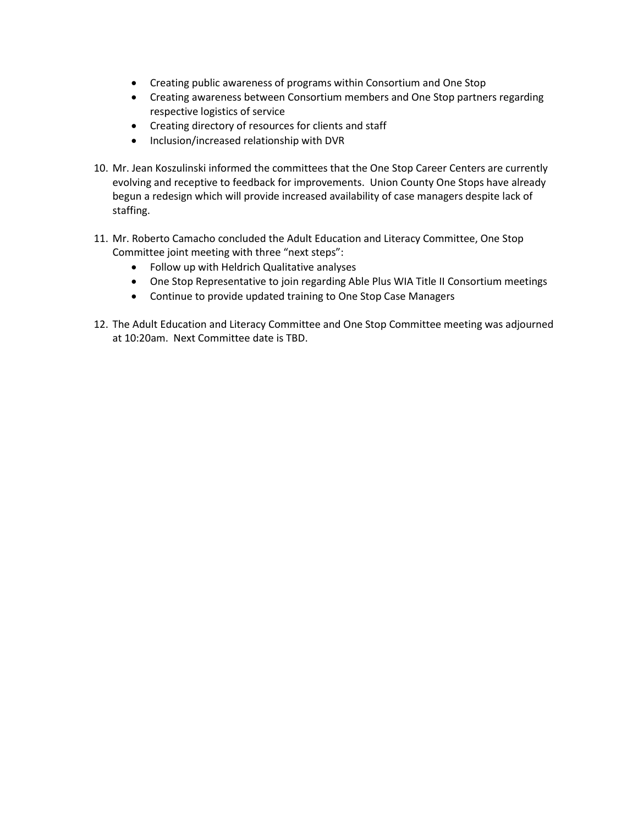- Creating public awareness of programs within Consortium and One Stop
- Creating awareness between Consortium members and One Stop partners regarding respective logistics of service
- Creating directory of resources for clients and staff
- Inclusion/increased relationship with DVR
- 10. Mr. Jean Koszulinski informed the committees that the One Stop Career Centers are currently evolving and receptive to feedback for improvements. Union County One Stops have already begun a redesign which will provide increased availability of case managers despite lack of staffing.
- 11. Mr. Roberto Camacho concluded the Adult Education and Literacy Committee, One Stop Committee joint meeting with three "next steps":
	- Follow up with Heldrich Qualitative analyses
	- One Stop Representative to join regarding Able Plus WIA Title II Consortium meetings
	- Continue to provide updated training to One Stop Case Managers
- 12. The Adult Education and Literacy Committee and One Stop Committee meeting was adjourned at 10:20am. Next Committee date is TBD.